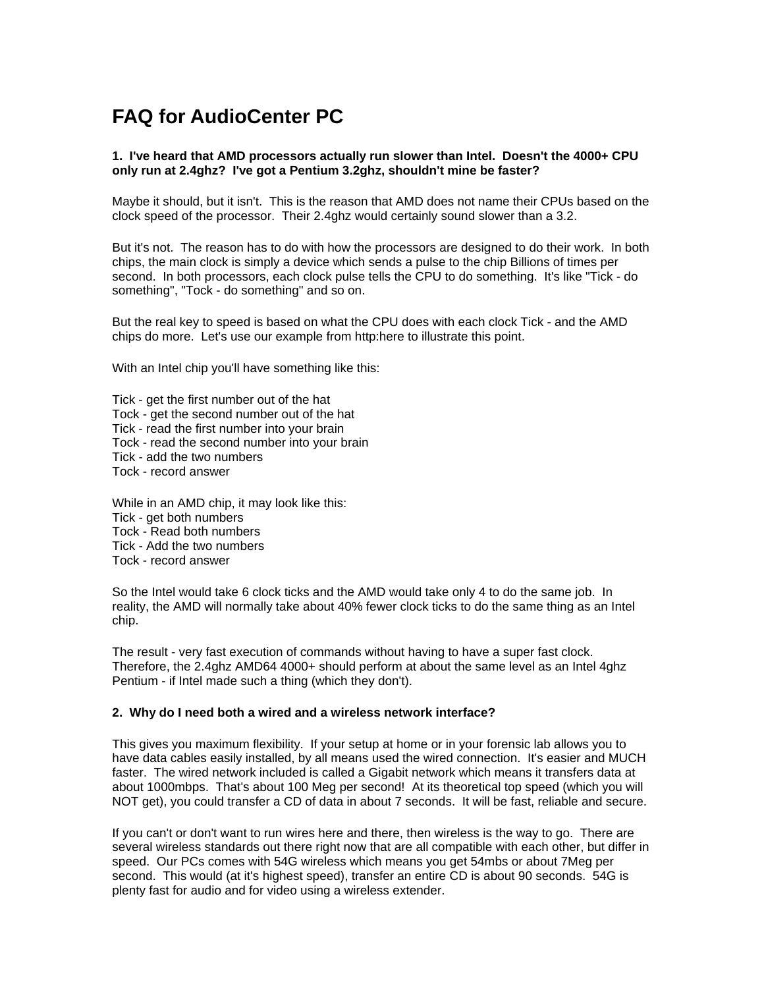# **FAQ for AudioCenter PC**

## **1. I've heard that AMD processors actually run slower than Intel. Doesn't the 4000+ CPU only run at 2.4ghz? I've got a Pentium 3.2ghz, shouldn't mine be faster?**

Maybe it should, but it isn't. This is the reason that AMD does not name their CPUs based on the clock speed of the processor. Their 2.4ghz would certainly sound slower than a 3.2.

But it's not. The reason has to do with how the processors are designed to do their work. In both chips, the main clock is simply a device which sends a pulse to the chip Billions of times per second. In both processors, each clock pulse tells the CPU to do something. It's like "Tick - do something", "Tock - do something" and so on.

But the real key to speed is based on what the CPU does with each clock Tick - and the AMD chips do more. Let's use our example from http:here to illustrate this point.

With an Intel chip you'll have something like this:

Tick - get the first number out of the hat Tock - get the second number out of the hat Tick - read the first number into your brain Tock - read the second number into your brain Tick - add the two numbers Tock - record answer

While in an AMD chip, it may look like this: Tick - get both numbers Tock - Read both numbers Tick - Add the two numbers Tock - record answer

So the Intel would take 6 clock ticks and the AMD would take only 4 to do the same job. In reality, the AMD will normally take about 40% fewer clock ticks to do the same thing as an Intel chip.

The result - very fast execution of commands without having to have a super fast clock. Therefore, the 2.4ghz AMD64 4000+ should perform at about the same level as an Intel 4ghz Pentium - if Intel made such a thing (which they don't).

## **2. Why do I need both a wired and a wireless network interface?**

This gives you maximum flexibility. If your setup at home or in your forensic lab allows you to have data cables easily installed, by all means used the wired connection. It's easier and MUCH faster. The wired network included is called a Gigabit network which means it transfers data at about 1000mbps. That's about 100 Meg per second! At its theoretical top speed (which you will NOT get), you could transfer a CD of data in about 7 seconds. It will be fast, reliable and secure.

If you can't or don't want to run wires here and there, then wireless is the way to go. There are several wireless standards out there right now that are all compatible with each other, but differ in speed. Our PCs comes with 54G wireless which means you get 54mbs or about 7Meg per second. This would (at it's highest speed), transfer an entire CD is about 90 seconds. 54G is plenty fast for audio and for video using a wireless extender.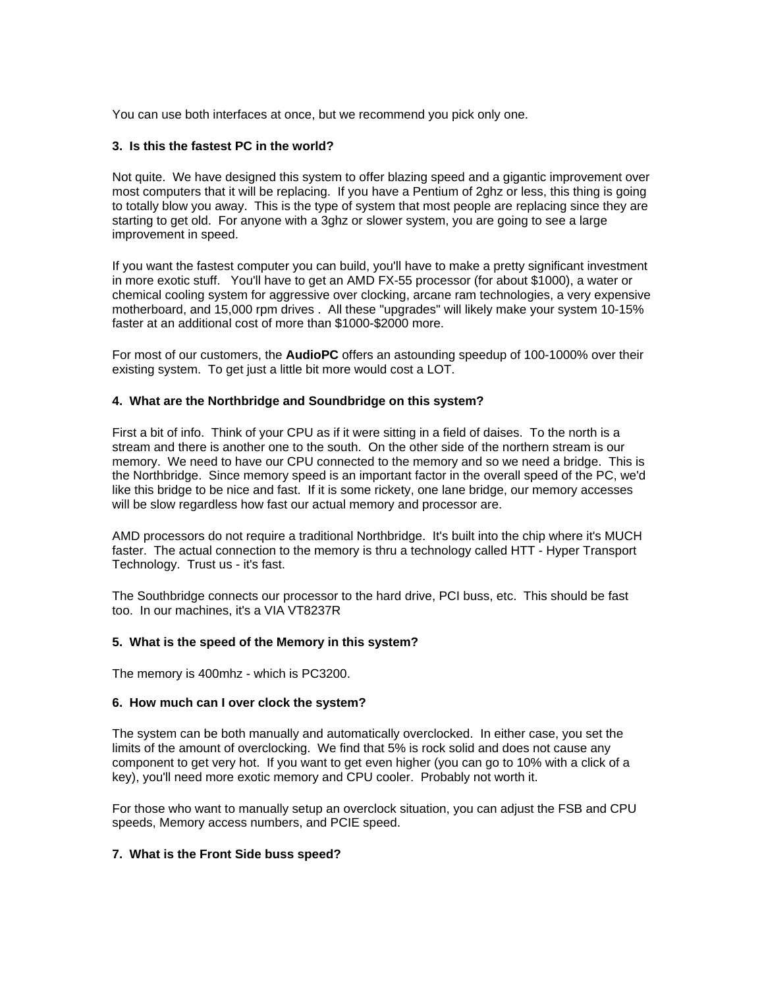You can use both interfaces at once, but we recommend you pick only one.

### **3. Is this the fastest PC in the world?**

Not quite. We have designed this system to offer blazing speed and a gigantic improvement over most computers that it will be replacing. If you have a Pentium of 2ghz or less, this thing is going to totally blow you away. This is the type of system that most people are replacing since they are starting to get old. For anyone with a 3ghz or slower system, you are going to see a large improvement in speed.

If you want the fastest computer you can build, you'll have to make a pretty significant investment in more exotic stuff. You'll have to get an AMD FX-55 processor (for about \$1000), a water or chemical cooling system for aggressive over clocking, arcane ram technologies, a very expensive motherboard, and 15,000 rpm drives . All these "upgrades" will likely make your system 10-15% faster at an additional cost of more than \$1000-\$2000 more.

For most of our customers, the **AudioPC** offers an astounding speedup of 100-1000% over their existing system. To get just a little bit more would cost a LOT.

#### **4. What are the Northbridge and Soundbridge on this system?**

First a bit of info. Think of your CPU as if it were sitting in a field of daises. To the north is a stream and there is another one to the south. On the other side of the northern stream is our memory. We need to have our CPU connected to the memory and so we need a bridge. This is the Northbridge. Since memory speed is an important factor in the overall speed of the PC, we'd like this bridge to be nice and fast. If it is some rickety, one lane bridge, our memory accesses will be slow regardless how fast our actual memory and processor are.

AMD processors do not require a traditional Northbridge. It's built into the chip where it's MUCH faster. The actual connection to the memory is thru a technology called HTT - Hyper Transport Technology. Trust us - it's fast.

The Southbridge connects our processor to the hard drive, PCI buss, etc. This should be fast too. In our machines, it's a VIA VT8237R

#### **5. What is the speed of the Memory in this system?**

The memory is 400mhz - which is PC3200.

#### **6. How much can I over clock the system?**

The system can be both manually and automatically overclocked. In either case, you set the limits of the amount of overclocking. We find that 5% is rock solid and does not cause any component to get very hot. If you want to get even higher (you can go to 10% with a click of a key), you'll need more exotic memory and CPU cooler. Probably not worth it.

For those who want to manually setup an overclock situation, you can adjust the FSB and CPU speeds, Memory access numbers, and PCIE speed.

#### **7. What is the Front Side buss speed?**